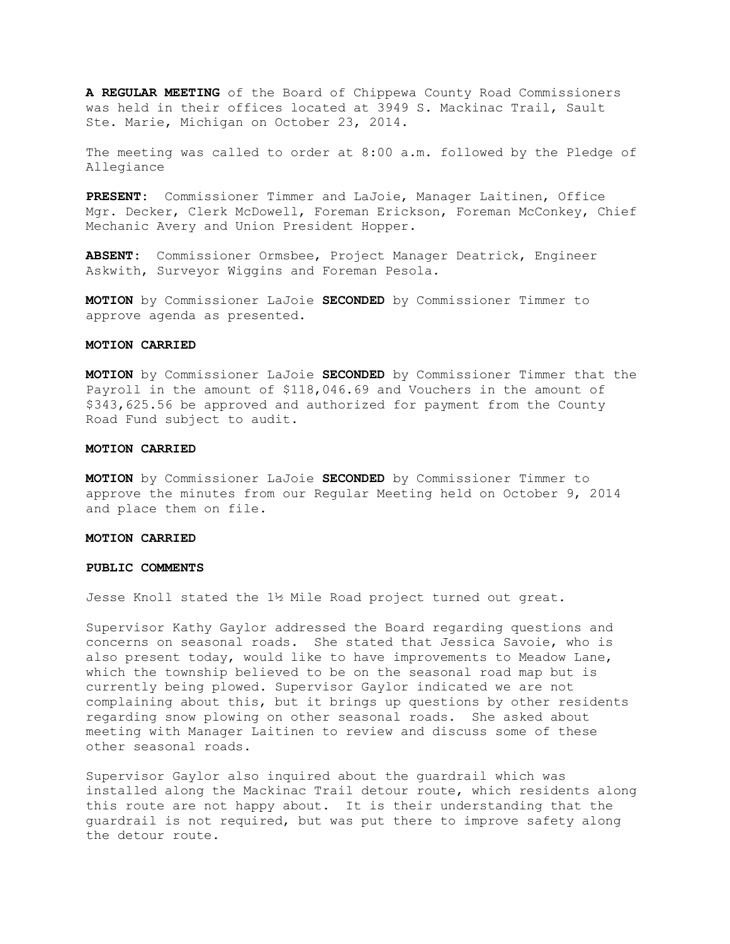**A REGULAR MEETING** of the Board of Chippewa County Road Commissioners was held in their offices located at 3949 S. Mackinac Trail, Sault Ste. Marie, Michigan on October 23, 2014.

The meeting was called to order at 8:00 a.m. followed by the Pledge of Allegiance

**PRESENT:** Commissioner Timmer and LaJoie, Manager Laitinen, Office Mgr. Decker, Clerk McDowell, Foreman Erickson, Foreman McConkey, Chief Mechanic Avery and Union President Hopper.

**ABSENT:** Commissioner Ormsbee, Project Manager Deatrick, Engineer Askwith, Surveyor Wiggins and Foreman Pesola.

**MOTION** by Commissioner LaJoie **SECONDED** by Commissioner Timmer to approve agenda as presented.

## **MOTION CARRIED**

**MOTION** by Commissioner LaJoie **SECONDED** by Commissioner Timmer that the Payroll in the amount of \$118,046.69 and Vouchers in the amount of \$343,625.56 be approved and authorized for payment from the County Road Fund subject to audit.

#### **MOTION CARRIED**

**MOTION** by Commissioner LaJoie **SECONDED** by Commissioner Timmer to approve the minutes from our Regular Meeting held on October 9, 2014 and place them on file.

#### **MOTION CARRIED**

#### **PUBLIC COMMENTS**

Jesse Knoll stated the 1½ Mile Road project turned out great.

Supervisor Kathy Gaylor addressed the Board regarding questions and concerns on seasonal roads. She stated that Jessica Savoie, who is also present today, would like to have improvements to Meadow Lane, which the township believed to be on the seasonal road map but is currently being plowed. Supervisor Gaylor indicated we are not complaining about this, but it brings up questions by other residents regarding snow plowing on other seasonal roads. She asked about meeting with Manager Laitinen to review and discuss some of these other seasonal roads.

Supervisor Gaylor also inquired about the guardrail which was installed along the Mackinac Trail detour route, which residents along this route are not happy about. It is their understanding that the guardrail is not required, but was put there to improve safety along the detour route.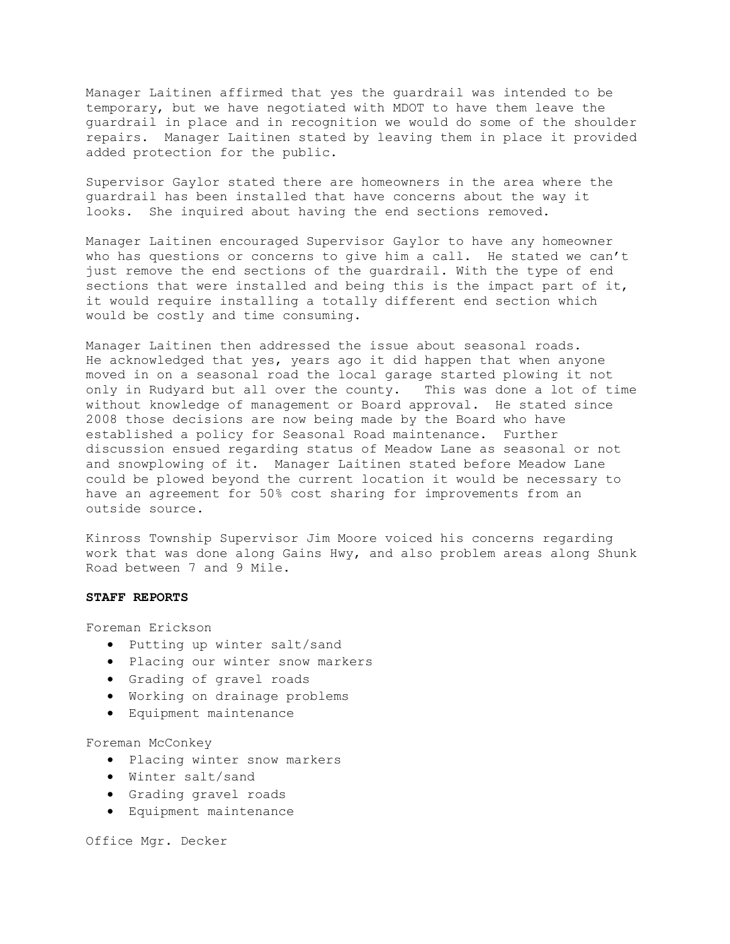Manager Laitinen affirmed that yes the guardrail was intended to be temporary, but we have negotiated with MDOT to have them leave the guardrail in place and in recognition we would do some of the shoulder repairs. Manager Laitinen stated by leaving them in place it provided added protection for the public.

Supervisor Gaylor stated there are homeowners in the area where the guardrail has been installed that have concerns about the way it looks. She inquired about having the end sections removed.

Manager Laitinen encouraged Supervisor Gaylor to have any homeowner who has questions or concerns to give him a call. He stated we can't just remove the end sections of the guardrail. With the type of end sections that were installed and being this is the impact part of it, it would require installing a totally different end section which would be costly and time consuming.

Manager Laitinen then addressed the issue about seasonal roads. He acknowledged that yes, years ago it did happen that when anyone moved in on a seasonal road the local garage started plowing it not only in Rudyard but all over the county. This was done a lot of time without knowledge of management or Board approval. He stated since 2008 those decisions are now being made by the Board who have established a policy for Seasonal Road maintenance. Further discussion ensued regarding status of Meadow Lane as seasonal or not and snowplowing of it. Manager Laitinen stated before Meadow Lane could be plowed beyond the current location it would be necessary to have an agreement for 50% cost sharing for improvements from an outside source.

Kinross Township Supervisor Jim Moore voiced his concerns regarding work that was done along Gains Hwy, and also problem areas along Shunk Road between 7 and 9 Mile.

## **STAFF REPORTS**

Foreman Erickson

- · Putting up winter salt/sand
- · Placing our winter snow markers
- · Grading of gravel roads
- · Working on drainage problems
- · Equipment maintenance

Foreman McConkey

- · Placing winter snow markers
- · Winter salt/sand
- · Grading gravel roads
- · Equipment maintenance

Office Mgr. Decker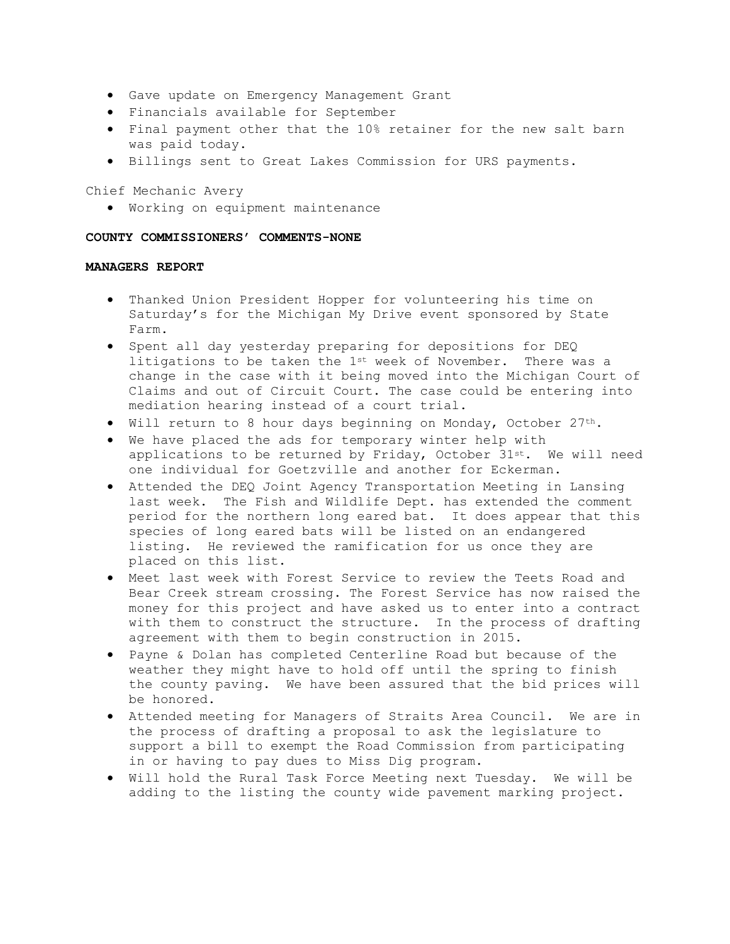- · Gave update on Emergency Management Grant
- · Financials available for September
- · Final payment other that the 10% retainer for the new salt barn was paid today.
- · Billings sent to Great Lakes Commission for URS payments.

Chief Mechanic Avery

· Working on equipment maintenance

# **COUNTY COMMISSIONERS' COMMENTS-NONE**

## **MANAGERS REPORT**

- · Thanked Union President Hopper for volunteering his time on Saturday's for the Michigan My Drive event sponsored by State Farm.
- · Spent all day yesterday preparing for depositions for DEQ litigations to be taken the 1st week of November. There was a change in the case with it being moved into the Michigan Court of Claims and out of Circuit Court. The case could be entering into mediation hearing instead of a court trial.
- · Will return to 8 hour days beginning on Monday, October 27th.
- · We have placed the ads for temporary winter help with applications to be returned by Friday, October  $31^{st}$ . We will need one individual for Goetzville and another for Eckerman.
- · Attended the DEQ Joint Agency Transportation Meeting in Lansing last week. The Fish and Wildlife Dept. has extended the comment period for the northern long eared bat. It does appear that this species of long eared bats will be listed on an endangered listing. He reviewed the ramification for us once they are placed on this list.
- · Meet last week with Forest Service to review the Teets Road and Bear Creek stream crossing. The Forest Service has now raised the money for this project and have asked us to enter into a contract with them to construct the structure. In the process of drafting agreement with them to begin construction in 2015.
- · Payne & Dolan has completed Centerline Road but because of the weather they might have to hold off until the spring to finish the county paving. We have been assured that the bid prices will be honored.
- · Attended meeting for Managers of Straits Area Council. We are in the process of drafting a proposal to ask the legislature to support a bill to exempt the Road Commission from participating in or having to pay dues to Miss Dig program.
- · Will hold the Rural Task Force Meeting next Tuesday. We will be adding to the listing the county wide pavement marking project.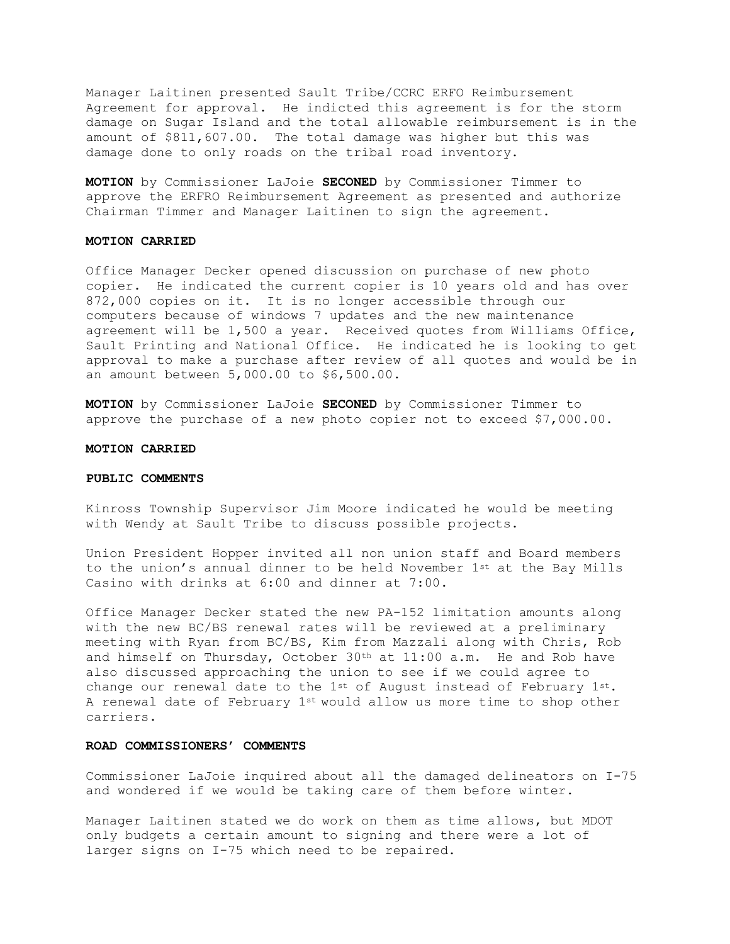Manager Laitinen presented Sault Tribe/CCRC ERFO Reimbursement Agreement for approval. He indicted this agreement is for the storm damage on Sugar Island and the total allowable reimbursement is in the amount of \$811,607.00. The total damage was higher but this was damage done to only roads on the tribal road inventory.

**MOTION** by Commissioner LaJoie **SECONED** by Commissioner Timmer to approve the ERFRO Reimbursement Agreement as presented and authorize Chairman Timmer and Manager Laitinen to sign the agreement.

## **MOTION CARRIED**

Office Manager Decker opened discussion on purchase of new photo copier. He indicated the current copier is 10 years old and has over 872,000 copies on it. It is no longer accessible through our computers because of windows 7 updates and the new maintenance agreement will be 1,500 a year. Received quotes from Williams Office, Sault Printing and National Office. He indicated he is looking to get approval to make a purchase after review of all quotes and would be in an amount between 5,000.00 to \$6,500.00.

**MOTION** by Commissioner LaJoie **SECONED** by Commissioner Timmer to approve the purchase of a new photo copier not to exceed \$7,000.00.

#### **MOTION CARRIED**

# **PUBLIC COMMENTS**

Kinross Township Supervisor Jim Moore indicated he would be meeting with Wendy at Sault Tribe to discuss possible projects.

Union President Hopper invited all non union staff and Board members to the union's annual dinner to be held November 1st at the Bay Mills Casino with drinks at 6:00 and dinner at 7:00.

Office Manager Decker stated the new PA-152 limitation amounts along with the new BC/BS renewal rates will be reviewed at a preliminary meeting with Ryan from BC/BS, Kim from Mazzali along with Chris, Rob and himself on Thursday, October 30th at 11:00 a.m. He and Rob have also discussed approaching the union to see if we could agree to change our renewal date to the  $1^{st}$  of August instead of February  $1^{st}$ . A renewal date of February 1st would allow us more time to shop other carriers.

#### **ROAD COMMISSIONERS' COMMENTS**

Commissioner LaJoie inquired about all the damaged delineators on I-75 and wondered if we would be taking care of them before winter.

Manager Laitinen stated we do work on them as time allows, but MDOT only budgets a certain amount to signing and there were a lot of larger signs on I-75 which need to be repaired.